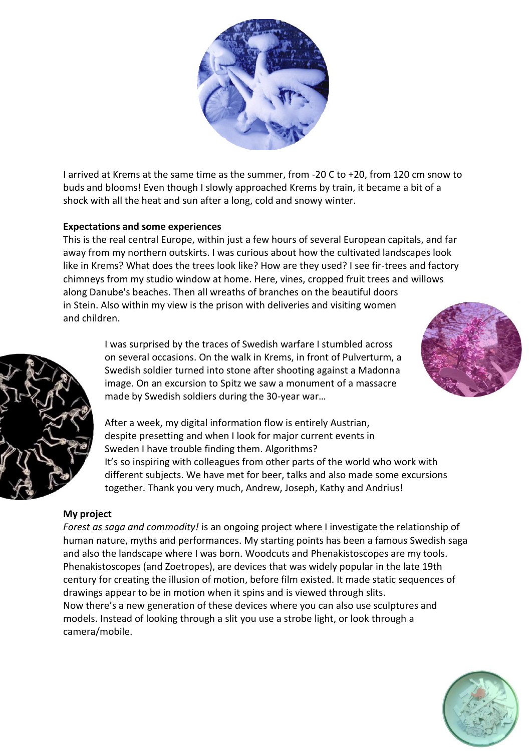

I arrived at Krems at the same time as the summer, from -20 C to +20, from 120 cm snow to buds and blooms! Even though I slowly approached Krems by train, it became a bit of a shock with all the heat and sun after a long, cold and snowy winter.

## **Expectations and some experiences**

This is the real central Europe, within just a few hours of several European capitals, and far away from my northern outskirts. I was curious about how the cultivated landscapes look like in Krems? What does the trees look like? How are they used? I see fir-trees and factory chimneys from my studio window at home. Here, vines, cropped fruit trees and willows along Danube's beaches. Then all wreaths of branches on the beautiful doors in Stein. Also within my view is the prison with deliveries and visiting women and children.



I was surprised by the traces of Swedish warfare I stumbled across on several occasions. On the walk in Krems, in front of Pulverturm, a Swedish soldier turned into stone after shooting against a Madonna image. On an excursion to Spitz we saw a monument of a massacre made by Swedish soldiers during the 30-year war…

After a week, my digital information flow is entirely Austrian, despite presetting and when I look for major current events in Sweden I have trouble finding them. Algorithms? It's so inspiring with colleagues from other parts of the world who work with different subjects. We have met for beer, talks and also made some excursions together. Thank you very much, Andrew, Joseph, Kathy and Andrius!

## **My project**

*Forest as saga and commodity!* is an ongoing project where I investigate the relationship of human nature, myths and performances. My starting points has been a famous Swedish saga and also the landscape where I was born. Woodcuts and Phenakistoscopes are my tools. Phenakistoscopes (and Zoetropes), are devices that was widely popular in the late 19th century for creating the illusion of motion, before film existed. It made static sequences of drawings appear to be in motion when it spins and is viewed through slits. Now there's a new generation of these devices where you can also use sculptures and models. Instead of looking through a slit you use a strobe light, or look through a camera/mobile.



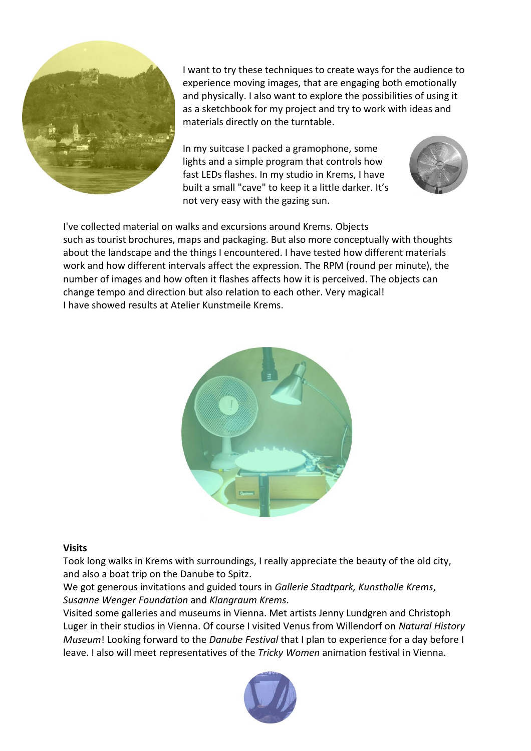

I want to try these techniques to create ways for the audience to experience moving images, that are engaging both emotionally and physically. I also want to explore the possibilities of using it as a sketchbook for my project and try to work with ideas and materials directly on the turntable.

In my suitcase I packed a gramophone, some lights and a simple program that controls how fast LEDs flashes. In my studio in Krems, I have built a small "cave" to keep it a little darker. It's not very easy with the gazing sun.



I've collected material on walks and excursions around Krems. Objects such as tourist brochures, maps and packaging. But also more conceptually with thoughts about the landscape and the things I encountered. I have tested how different materials work and how different intervals affect the expression. The RPM (round per minute), the number of images and how often it flashes affects how it is perceived. The objects can change tempo and direction but also relation to each other. Very magical! I have showed results at Atelier Kunstmeile Krems.



## **Visits**

Took long walks in Krems with surroundings, I really appreciate the beauty of the old city, and also a boat trip on the Danube to Spitz.

We got generous invitations and guided tours in *Gallerie Stadtpark, Kunsthalle Krems*, *Susanne Wenger Foundation* and *Klangraum Krems*.

Visited some galleries and museums in Vienna. Met artists Jenny Lundgren and Christoph Luger in their studios in Vienna. Of course I visited Venus from Willendorf on *Natural History Museum*! Looking forward to the *Danube Festival* that I plan to experience for a day before I leave. I also will meet representatives of the *Tricky Women* animation festival in Vienna.